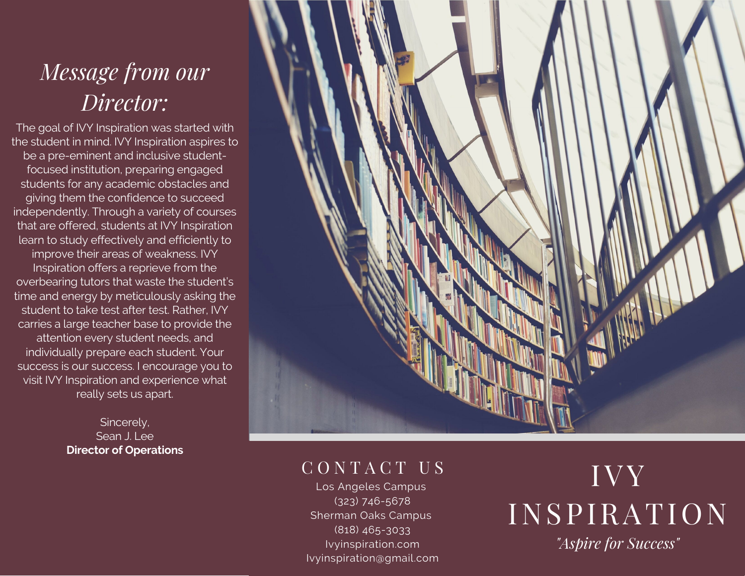# *Message from our Director:*

The goal of IVY Inspiration was started with the student in mind. IVY Inspiration aspires to be a pre-eminent and inclusive studentfocused institution, preparing engaged students for any academic obstacles and giving them the confidence to succeed independently. Through a variety of courses that are offered, students at IVY Inspiration learn to study effectively and efficiently to improve their areas of weakness. IVY Inspiration offers a reprieve from the overbearing tutors that waste the student's time and energy by meticulously asking the student to take test after test. Rather, IVY carries a large teacher base to provide the attention every student needs, and individually prepare each student. Your success is our success. I encourage you to visit IVY Inspiration and experience what really sets us apart.

> Sincerely, Sean J. Lee **Director of Operations**



## C O N T A C T U S

Los Angeles Campus (323) 746-5678 Sherman Oaks Campus (818) 465-3033 Ivyinspiration.com Ivyinspiration@gmail.com

# IVY INSPIRATION *"Aspire for Success"*